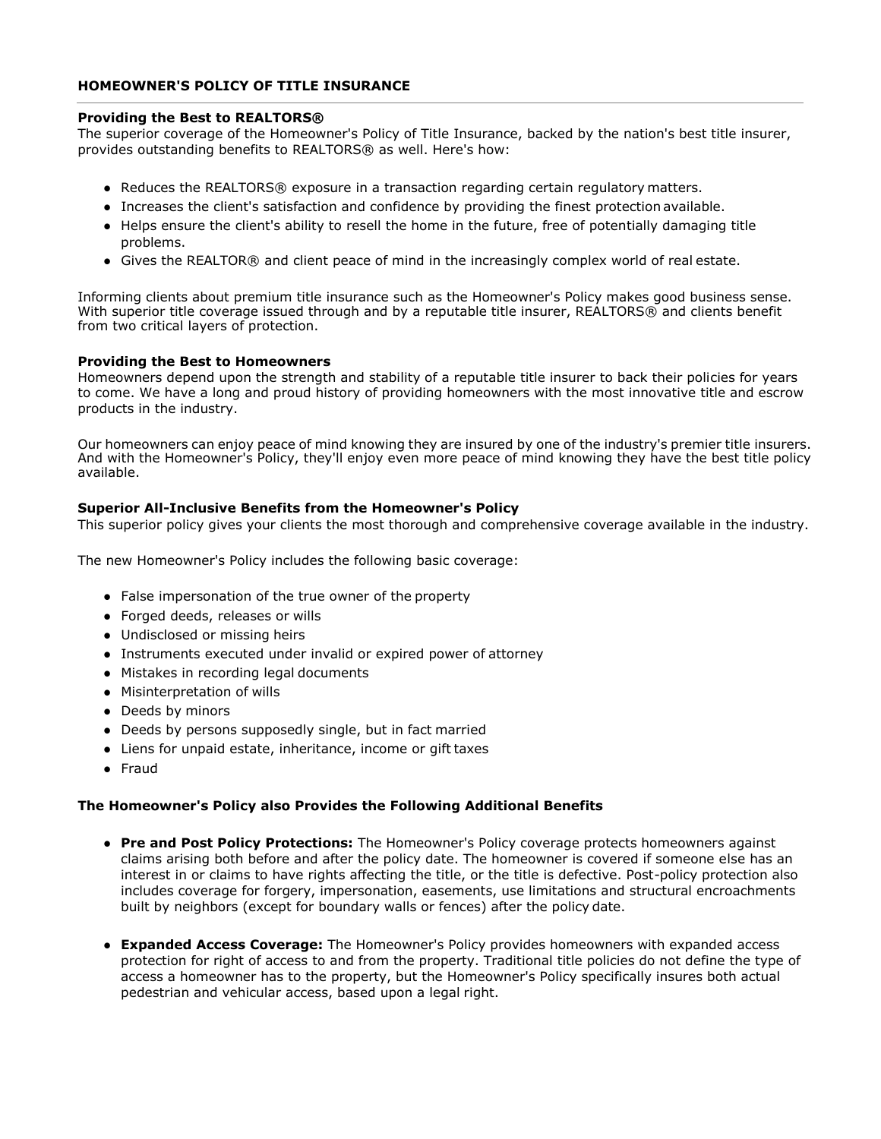## **HOMEOWNER'S POLICY OF TITLE INSURANCE**

#### **Providing the Best to REALTORS®**

The superior coverage of the Homeowner's Policy of Title Insurance, backed by the nation's best title insurer, provides outstanding benefits to REALTORS® as well. Here's how:

- Reduces the REALTORS® exposure in a transaction regarding certain regulatory matters.
- Increases the client's satisfaction and confidence by providing the finest protection available.
- Helps ensure the client's ability to resell the home in the future, free of potentially damaging title problems.
- Gives the REALTOR® and client peace of mind in the increasingly complex world of real estate.

Informing clients about premium title insurance such as the Homeowner's Policy makes good business sense. With superior title coverage issued through and by a reputable title insurer, REALTORS® and clients benefit from two critical layers of protection.

## **Providing the Best to Homeowners**

Homeowners depend upon the strength and stability of a reputable title insurer to back their policies for years to come. We have a long and proud history of providing homeowners with the most innovative title and escrow products in the industry.

Our homeowners can enjoy peace of mind knowing they are insured by one of the industry's premier title insurers. And with the Homeowner's Policy, they'll enjoy even more peace of mind knowing they have the best title policy available.

# **Superior All-Inclusive Benefits from the Homeowner's Policy**

This superior policy gives your clients the most thorough and comprehensive coverage available in the industry.

The new Homeowner's Policy includes the following basic coverage:

- False impersonation of the true owner of the property
- Forged deeds, releases or wills
- Undisclosed or missing heirs
- Instruments executed under invalid or expired power of attorney
- Mistakes in recording legal documents
- Misinterpretation of wills
- Deeds by minors
- Deeds by persons supposedly single, but in fact married
- Liens for unpaid estate, inheritance, income or gift taxes
- Fraud

#### **The Homeowner's Policy also Provides the Following Additional Benefits**

- **Pre and Post Policy Protections:** The Homeowner's Policy coverage protects homeowners against claims arising both before and after the policy date. The homeowner is covered if someone else has an interest in or claims to have rights affecting the title, or the title is defective. Post-policy protection also includes coverage for forgery, impersonation, easements, use limitations and structural encroachments built by neighbors (except for boundary walls or fences) after the policy date.
- **Expanded Access Coverage:** The Homeowner's Policy provides homeowners with expanded access protection for right of access to and from the property. Traditional title policies do not define the type of access a homeowner has to the property, but the Homeowner's Policy specifically insures both actual pedestrian and vehicular access, based upon a legal right.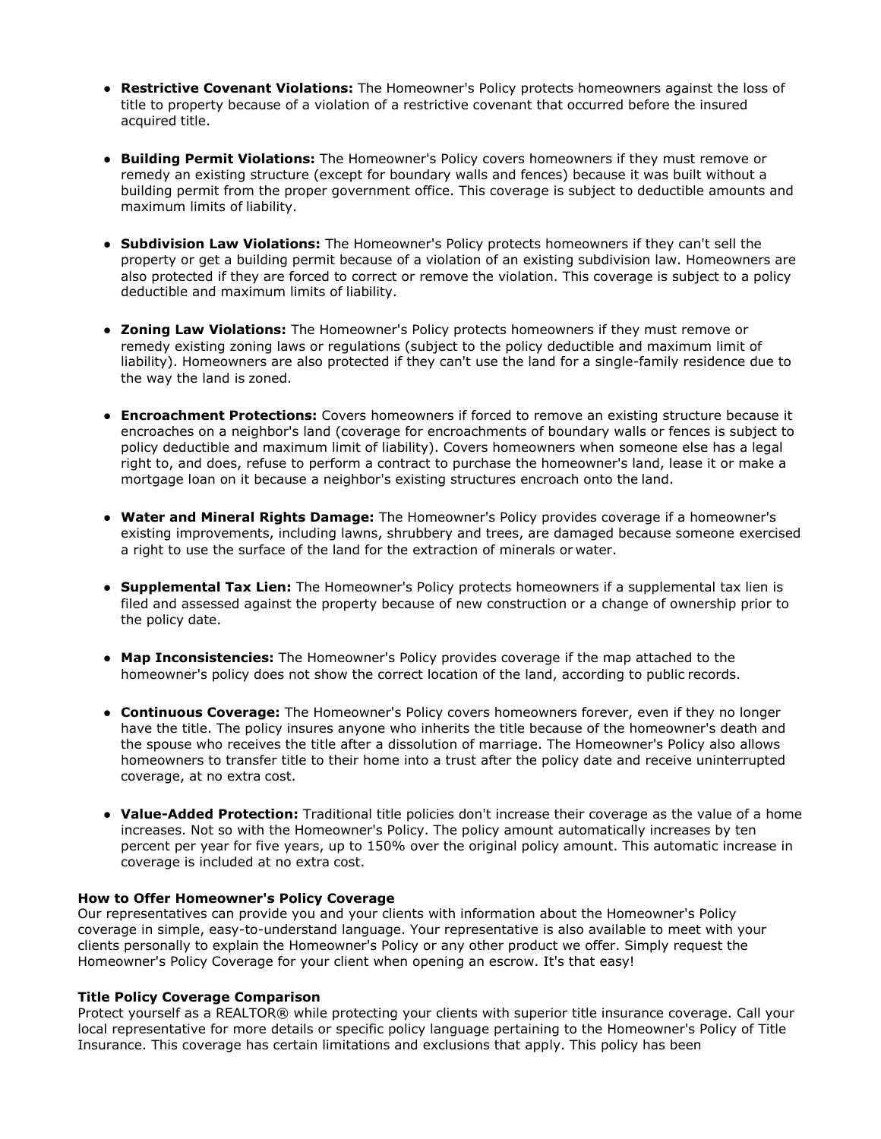- **Restrictive Covenant Violations:** The Homeowner's Policy protects homeowners against the loss of title to property because of a violation of a restrictive covenant that occurred before the insured acquired title.
- **Building Permit Violations:** The Homeowner's Policy covers homeowners if they must remove or remedy an existing structure (except for boundary walls and fences) because it was built without a building permit from the proper government office. This coverage is subject to deductible amounts and maximum limits of liability.
- **Subdivision Law Violations:** The Homeowner's Policy protects homeowners if they can't sell the property or get a building permit because of a violation of an existing subdivision law. Homeowners are also protected if they are forced to correct or remove the violation. This coverage is subject to a policy deductible and maximum limits of liability.
- **Zoning Law Violations:** The Homeowner's Policy protects homeowners if they must remove or remedy existing zoning laws or regulations (subject to the policy deductible and maximum limit of liability). Homeowners are also protected if they can't use the land for a single-family residence due to the way the land is zoned.
- **Encroachment Protections:** Covers homeowners if forced to remove an existing structure because it encroaches on a neighbor's land (coverage for encroachments of boundary walls or fences is subject to policy deductible and maximum limit of liability). Covers homeowners when someone else has a legal right to, and does, refuse to perform a contract to purchase the homeowner's land, lease it or make a mortgage loan on it because a neighbor's existing structures encroach onto the land.
- **Water and Mineral Rights Damage:** The Homeowner's Policy provides coverage if a homeowner's existing improvements, including lawns, shrubbery and trees, are damaged because someone exercised a right to use the surface of the land for the extraction of minerals or water.
- **Supplemental Tax Lien:** The Homeowner's Policy protects homeowners if a supplemental tax lien is filed and assessed against the property because of new construction or a change of ownership prior to the policy date.
- **Map Inconsistencies:** The Homeowner's Policy provides coverage if the map attached to the homeowner's policy does not show the correct location of the land, according to public records.
- **Continuous Coverage:** The Homeowner's Policy covers homeowners forever, even if they no longer have the title. The policy insures anyone who inherits the title because of the homeowner's death and the spouse who receives the title after a dissolution of marriage. The Homeowner's Policy also allows homeowners to transfer title to their home into a trust after the policy date and receive uninterrupted coverage, at no extra cost.
- **Value-Added Protection:** Traditional title policies don't increase their coverage as the value of a home increases. Not so with the Homeowner's Policy. The policy amount automatically increases by ten percent per year for five years, up to 150% over the original policy amount. This automatic increase in coverage is included at no extra cost.

# **How to Offer Homeowner's Policy Coverage**

Our representatives can provide you and your clients with information about the Homeowner's Policy coverage in simple, easy-to-understand language. Your representative is also available to meet with your clients personally to explain the Homeowner's Policy or any other product we offer. Simply request the Homeowner's Policy Coverage for your client when opening an escrow. It's that easy!

### **Title Policy Coverage Comparison**

Protect yourself as a REALTOR® while protecting your clients with superior title insurance coverage. Call your local representative for more details or specific policy language pertaining to the Homeowner's Policy of Title Insurance. This coverage has certain limitations and exclusions that apply. This policy has been